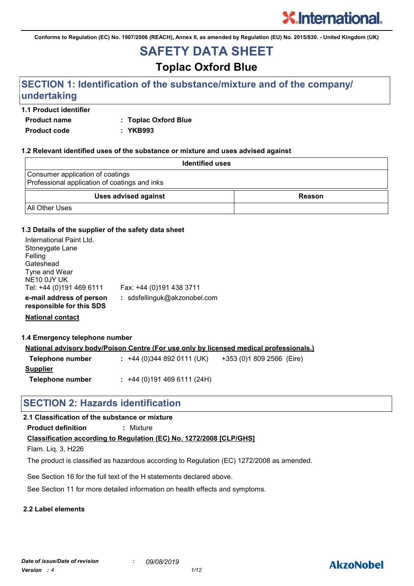**Conforms to Regulation (EC) No. 1907/2006 (REACH), Annex II, as amended by Regulation (EU) No. 2015/830. - United Kingdom (UK)**

# **SAFETY DATA SHEET**

# **Toplac Oxford Blue**

# **SECTION 1: Identification of the substance/mixture and of the company/ undertaking**

# **1.1 Product identifier**

**Product name : Toplac Oxford Blue**

**Product code : YKB993**

# **1.2 Relevant identified uses of the substance or mixture and uses advised against**

| <b>Identified uses</b>                                                            |        |
|-----------------------------------------------------------------------------------|--------|
| Consumer application of coatings<br>Professional application of coatings and inks |        |
| <b>Uses advised against</b>                                                       | Reason |
| <b>All Other Uses</b>                                                             |        |

### **1.3 Details of the supplier of the safety data sheet**

| International Paint Ltd.<br>Stoneygate Lane<br>Felling<br>Gateshead<br>Tyne and Wear<br>NE <sub>10</sub> 0JY UK<br>Tel: +44 (0)191 469 6111 | Fax: +44 (0)191 438 3711     |
|---------------------------------------------------------------------------------------------------------------------------------------------|------------------------------|
| e-mail address of person<br>responsible for this SDS                                                                                        | : sdsfellinguk@akzonobel.com |

**National contact**

**1.4 Emergency telephone number**

| <u>National advisory body/Poison Centre (For use only by licensed medical professionals.)</u> |                          |                           |  |
|-----------------------------------------------------------------------------------------------|--------------------------|---------------------------|--|
| Telephone number                                                                              | $: +44(0)3448920111(UK)$ | +353 (0)1 809 2566 (Eire) |  |
| Supplier                                                                                      |                          |                           |  |

**Telephone number :** +44 (0)191 469 6111 (24H)

# **SECTION 2: Hazards identification**

# **2.1 Classification of the substance or mixture**

**Product definition :** Mixture

# **Classification according to Regulation (EC) No. 1272/2008 [CLP/GHS]**

Flam. Liq. 3, H226

The product is classified as hazardous according to Regulation (EC) 1272/2008 as amended.

See Section 16 for the full text of the H statements declared above.

See Section 11 for more detailed information on health effects and symptoms.

### **2.2 Label elements**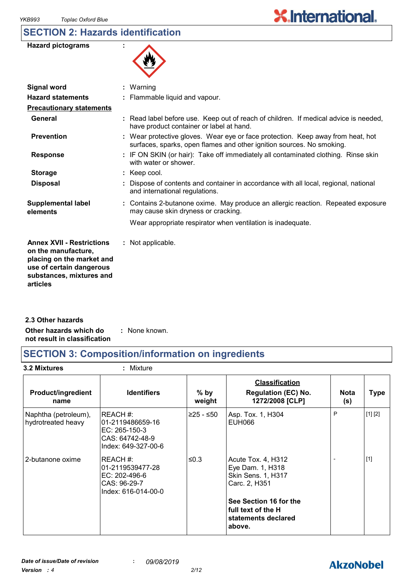# **SECTION 2: Hazards identification**



| Signal word                                                                                                                                              | $:$ Warning                                                                                                                                              |
|----------------------------------------------------------------------------------------------------------------------------------------------------------|----------------------------------------------------------------------------------------------------------------------------------------------------------|
| <b>Hazard statements</b>                                                                                                                                 | : Flammable liquid and vapour.                                                                                                                           |
| <b>Precautionary statements</b>                                                                                                                          |                                                                                                                                                          |
| General                                                                                                                                                  | : Read label before use. Keep out of reach of children. If medical advice is needed,<br>have product container or label at hand.                         |
| <b>Prevention</b>                                                                                                                                        | : Wear protective gloves. Wear eye or face protection. Keep away from heat, hot<br>surfaces, sparks, open flames and other ignition sources. No smoking. |
| <b>Response</b>                                                                                                                                          | : IF ON SKIN (or hair): Take off immediately all contaminated clothing. Rinse skin<br>with water or shower.                                              |
| <b>Storage</b>                                                                                                                                           | $:$ Keep cool.                                                                                                                                           |
| <b>Disposal</b>                                                                                                                                          | Dispose of contents and container in accordance with all local, regional, national<br>and international regulations.                                     |
| <b>Supplemental label</b><br>elements                                                                                                                    | : Contains 2-butanone oxime. May produce an allergic reaction. Repeated exposure<br>may cause skin dryness or cracking.                                  |
|                                                                                                                                                          | Wear appropriate respirator when ventilation is inadequate.                                                                                              |
| <b>Annex XVII - Restrictions</b><br>on the manufacture,<br>placing on the market and<br>use of certain dangerous<br>substances, mixtures and<br>articles | : Not applicable.                                                                                                                                        |

**Other hazards which do : not result in classification** : None known. **2.3 Other hazards**

# **SECTION 3: Composition/information on ingredients**

**3.2 Mixtures :** Mixture

| <b>Product/ingredient</b><br>name          | <b>Identifiers</b>                                                                      | $%$ by<br>weight | <b>Classification</b><br><b>Regulation (EC) No.</b><br>1272/2008 [CLP]          | <b>Nota</b><br>(s) | <b>Type</b> |
|--------------------------------------------|-----------------------------------------------------------------------------------------|------------------|---------------------------------------------------------------------------------|--------------------|-------------|
| Naphtha (petroleum),<br>hydrotreated heavy | REACH#:<br>l01-2119486659-16<br>EC: 265-150-3<br>CAS: 64742-48-9<br>Index: 649-327-00-6 | ≥25 - ≤50        | Asp. Tox. 1, H304<br>EUH066                                                     | P                  | [1] [2]     |
| 2-butanone oxime                           | REACH #:<br>l01-2119539477-28<br>EC: 202-496-6<br>CAS: 96-29-7<br>Index: 616-014-00-0   | ≤0.3             | Acute Tox. 4, H312<br>Eye Dam. 1, H318<br>Skin Sens. 1, H317<br>Carc. 2, H351   |                    | $[1]$       |
|                                            |                                                                                         |                  | See Section 16 for the<br>l full text of the H<br>statements declared<br>above. |                    |             |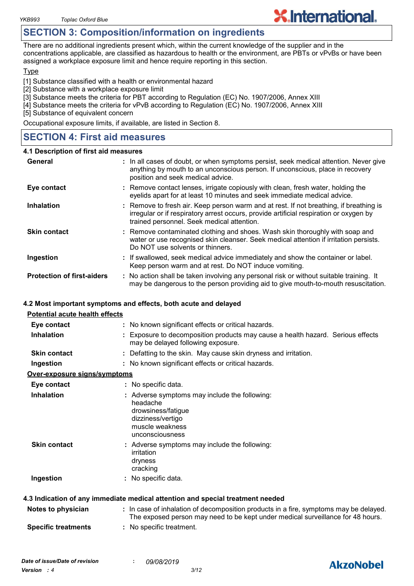# **SECTION 3: Composition/information on ingredients**

There are no additional ingredients present which, within the current knowledge of the supplier and in the concentrations applicable, are classified as hazardous to health or the environment, are PBTs or vPvBs or have been assigned a workplace exposure limit and hence require reporting in this section.

**X.International.** 

#### **Type**

[1] Substance classified with a health or environmental hazard

- [2] Substance with a workplace exposure limit
- [3] Substance meets the criteria for PBT according to Regulation (EC) No. 1907/2006, Annex XIII
- [4] Substance meets the criteria for vPvB according to Regulation (EC) No. 1907/2006, Annex XIII

[5] Substance of equivalent concern

Occupational exposure limits, if available, are listed in Section 8.

# **SECTION 4: First aid measures**

#### **4.1 Description of first aid measures**

| General                           | : In all cases of doubt, or when symptoms persist, seek medical attention. Never give<br>anything by mouth to an unconscious person. If unconscious, place in recovery<br>position and seek medical advice.                    |
|-----------------------------------|--------------------------------------------------------------------------------------------------------------------------------------------------------------------------------------------------------------------------------|
| Eye contact                       | : Remove contact lenses, irrigate copiously with clean, fresh water, holding the<br>eyelids apart for at least 10 minutes and seek immediate medical advice.                                                                   |
| <b>Inhalation</b>                 | : Remove to fresh air. Keep person warm and at rest. If not breathing, if breathing is<br>irregular or if respiratory arrest occurs, provide artificial respiration or oxygen by<br>trained personnel. Seek medical attention. |
| <b>Skin contact</b>               | : Remove contaminated clothing and shoes. Wash skin thoroughly with soap and<br>water or use recognised skin cleanser. Seek medical attention if irritation persists.<br>Do NOT use solvents or thinners.                      |
| Ingestion                         | : If swallowed, seek medical advice immediately and show the container or label.<br>Keep person warm and at rest. Do NOT induce vomiting.                                                                                      |
| <b>Protection of first-aiders</b> | : No action shall be taken involving any personal risk or without suitable training. It<br>may be dangerous to the person providing aid to give mouth-to-mouth resuscitation.                                                  |

### **4.2 Most important symptoms and effects, both acute and delayed**

| <b>Potential acute health effects</b> |                                                                                                                                                                          |
|---------------------------------------|--------------------------------------------------------------------------------------------------------------------------------------------------------------------------|
| Eye contact                           | : No known significant effects or critical hazards.                                                                                                                      |
| <b>Inhalation</b>                     | : Exposure to decomposition products may cause a health hazard. Serious effects<br>may be delayed following exposure.                                                    |
| <b>Skin contact</b>                   | : Defatting to the skin. May cause skin dryness and irritation.                                                                                                          |
| Ingestion                             | : No known significant effects or critical hazards.                                                                                                                      |
| Over-exposure signs/symptoms          |                                                                                                                                                                          |
| Eye contact                           | : No specific data.                                                                                                                                                      |
| <b>Inhalation</b>                     | : Adverse symptoms may include the following:<br>headache<br>drowsiness/fatigue<br>dizziness/vertigo<br>muscle weakness<br>unconsciousness                               |
| <b>Skin contact</b>                   | : Adverse symptoms may include the following:<br>irritation<br>dryness<br>cracking                                                                                       |
| Ingestion                             | : No specific data.                                                                                                                                                      |
|                                       | 4.3 Indication of any immediate medical attention and special treatment needed                                                                                           |
| Notes to physician                    | : In case of inhalation of decomposition products in a fire, symptoms may be delayed.<br>The exposed person may need to be kept under medical surveillance for 48 hours. |
| <b>Specific treatments</b>            | : No specific treatment.                                                                                                                                                 |



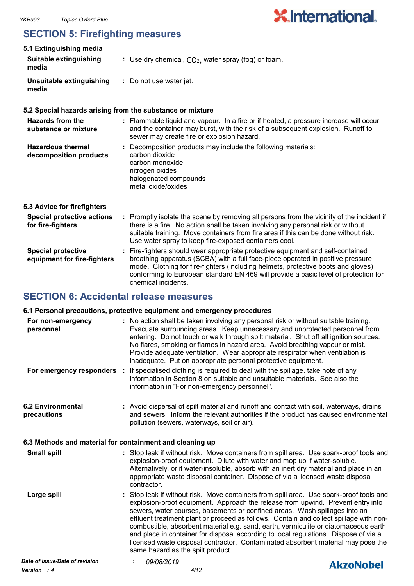# **SECTION 5: Firefighting measures**

| 5.1 Extinguishing media<br><b>Suitable extinguishing</b><br>media | : Use dry chemical, $CO2$ , water spray (fog) or foam.                                                                                                                                                                                                                                                                                                                |
|-------------------------------------------------------------------|-----------------------------------------------------------------------------------------------------------------------------------------------------------------------------------------------------------------------------------------------------------------------------------------------------------------------------------------------------------------------|
| Unsuitable extinguishing<br>media                                 | : Do not use water jet.                                                                                                                                                                                                                                                                                                                                               |
|                                                                   | 5.2 Special hazards arising from the substance or mixture                                                                                                                                                                                                                                                                                                             |
| <b>Hazards from the</b><br>substance or mixture                   | : Flammable liquid and vapour. In a fire or if heated, a pressure increase will occur<br>and the container may burst, with the risk of a subsequent explosion. Runoff to<br>sewer may create fire or explosion hazard.                                                                                                                                                |
| <b>Hazardous thermal</b><br>decomposition products                | : Decomposition products may include the following materials:<br>carbon dioxide<br>carbon monoxide<br>nitrogen oxides<br>halogenated compounds<br>metal oxide/oxides                                                                                                                                                                                                  |
| 5.3 Advice for firefighters                                       |                                                                                                                                                                                                                                                                                                                                                                       |
| <b>Special protective actions</b><br>for fire-fighters            | : Promptly isolate the scene by removing all persons from the vicinity of the incident if<br>there is a fire. No action shall be taken involving any personal risk or without<br>suitable training. Move containers from fire area if this can be done without risk.<br>Use water spray to keep fire-exposed containers cool.                                         |
| <b>Special protective</b><br>equipment for fire-fighters          | : Fire-fighters should wear appropriate protective equipment and self-contained<br>breathing apparatus (SCBA) with a full face-piece operated in positive pressure<br>mode. Clothing for fire-fighters (including helmets, protective boots and gloves)<br>conforming to European standard EN 469 will provide a basic level of protection for<br>chemical incidents. |

# **SECTION 6: Accidental release measures**

# **6.1 Personal precautions, protective equipment and emergency procedures**

| For non-emergency<br>personnel                           | inadequate. Put on appropriate personal protective equipment. | : No action shall be taken involving any personal risk or without suitable training.<br>Evacuate surrounding areas. Keep unnecessary and unprotected personnel from<br>entering. Do not touch or walk through spilt material. Shut off all ignition sources.<br>No flares, smoking or flames in hazard area. Avoid breathing vapour or mist.<br>Provide adequate ventilation. Wear appropriate respirator when ventilation is                                                                                                                                                                                       |
|----------------------------------------------------------|---------------------------------------------------------------|---------------------------------------------------------------------------------------------------------------------------------------------------------------------------------------------------------------------------------------------------------------------------------------------------------------------------------------------------------------------------------------------------------------------------------------------------------------------------------------------------------------------------------------------------------------------------------------------------------------------|
| For emergency responders :                               | information in "For non-emergency personnel".                 | If specialised clothing is required to deal with the spillage, take note of any<br>information in Section 8 on suitable and unsuitable materials. See also the                                                                                                                                                                                                                                                                                                                                                                                                                                                      |
| <b>6.2 Environmental</b><br>precautions                  | pollution (sewers, waterways, soil or air).                   | : Avoid dispersal of spilt material and runoff and contact with soil, waterways, drains<br>and sewers. Inform the relevant authorities if the product has caused environmental                                                                                                                                                                                                                                                                                                                                                                                                                                      |
| 6.3 Methods and material for containment and cleaning up |                                                               |                                                                                                                                                                                                                                                                                                                                                                                                                                                                                                                                                                                                                     |
| <b>Small spill</b>                                       | contractor.                                                   | : Stop leak if without risk. Move containers from spill area. Use spark-proof tools and<br>explosion-proof equipment. Dilute with water and mop up if water-soluble.<br>Alternatively, or if water-insoluble, absorb with an inert dry material and place in an<br>appropriate waste disposal container. Dispose of via a licensed waste disposal                                                                                                                                                                                                                                                                   |
| Large spill                                              | same hazard as the spilt product.                             | Stop leak if without risk. Move containers from spill area. Use spark-proof tools and<br>explosion-proof equipment. Approach the release from upwind. Prevent entry into<br>sewers, water courses, basements or confined areas. Wash spillages into an<br>effluent treatment plant or proceed as follows. Contain and collect spillage with non-<br>combustible, absorbent material e.g. sand, earth, vermiculite or diatomaceous earth<br>and place in container for disposal according to local regulations. Dispose of via a<br>licensed waste disposal contractor. Contaminated absorbent material may pose the |
| Date of issue/Date of revision                           | 09/08/2019                                                    | AkzoNobel                                                                                                                                                                                                                                                                                                                                                                                                                                                                                                                                                                                                           |
|                                                          |                                                               |                                                                                                                                                                                                                                                                                                                                                                                                                                                                                                                                                                                                                     |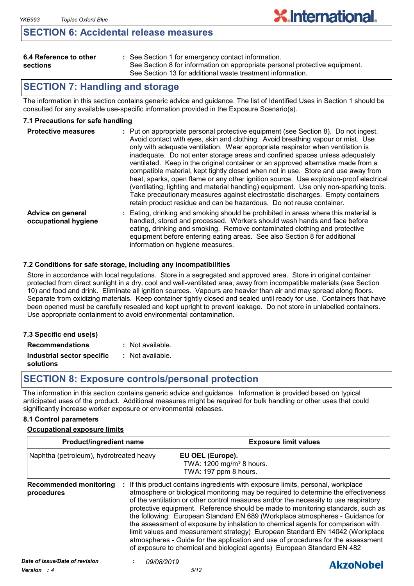# **SECTION 6: Accidental release measures**

| 6.4 Reference to other |  |
|------------------------|--|
| sections               |  |

See Section 1 for emergency contact information. **:** See Section 8 for information on appropriate personal protective equipment. See Section 13 for additional waste treatment information.

# **SECTION 7: Handling and storage**

The information in this section contains generic advice and guidance. The list of Identified Uses in Section 1 should be consulted for any available use-specific information provided in the Exposure Scenario(s).

# **7.1 Precautions for safe handling**

| <b>Protective measures</b>                | : Put on appropriate personal protective equipment (see Section 8). Do not ingest.<br>Avoid contact with eyes, skin and clothing. Avoid breathing vapour or mist. Use<br>only with adequate ventilation. Wear appropriate respirator when ventilation is<br>inadequate. Do not enter storage areas and confined spaces unless adequately<br>ventilated. Keep in the original container or an approved alternative made from a<br>compatible material, kept tightly closed when not in use. Store and use away from<br>heat, sparks, open flame or any other ignition source. Use explosion-proof electrical<br>(ventilating, lighting and material handling) equipment. Use only non-sparking tools.<br>Take precautionary measures against electrostatic discharges. Empty containers<br>retain product residue and can be hazardous. Do not reuse container. |
|-------------------------------------------|----------------------------------------------------------------------------------------------------------------------------------------------------------------------------------------------------------------------------------------------------------------------------------------------------------------------------------------------------------------------------------------------------------------------------------------------------------------------------------------------------------------------------------------------------------------------------------------------------------------------------------------------------------------------------------------------------------------------------------------------------------------------------------------------------------------------------------------------------------------|
| Advice on general<br>occupational hygiene | : Eating, drinking and smoking should be prohibited in areas where this material is<br>handled, stored and processed. Workers should wash hands and face before<br>eating, drinking and smoking. Remove contaminated clothing and protective<br>equipment before entering eating areas. See also Section 8 for additional<br>information on hygiene measures.                                                                                                                                                                                                                                                                                                                                                                                                                                                                                                  |

### **7.2 Conditions for safe storage, including any incompatibilities**

Store in accordance with local regulations. Store in a segregated and approved area. Store in original container protected from direct sunlight in a dry, cool and well-ventilated area, away from incompatible materials (see Section 10) and food and drink. Eliminate all ignition sources. Vapours are heavier than air and may spread along floors. Separate from oxidizing materials. Keep container tightly closed and sealed until ready for use. Containers that have been opened must be carefully resealed and kept upright to prevent leakage. Do not store in unlabelled containers. Use appropriate containment to avoid environmental contamination.

| 7.3 Specific end use(s)    |                    |
|----------------------------|--------------------|
| <b>Recommendations</b>     | : Not available.   |
| Industrial sector specific | $:$ Not available. |
| solutions                  |                    |

# **SECTION 8: Exposure controls/personal protection**

The information in this section contains generic advice and guidance. Information is provided based on typical anticipated uses of the product. Additional measures might be required for bulk handling or other uses that could significantly increase worker exposure or environmental releases.

### **8.1 Control parameters**

### **Occupational exposure limits**

|                                             | <b>Product/ingredient name</b> |                                                                                                                                                                                                                                                                                                                                                                                                                                                                                                                                                                                                                                                                                                                                                                                                                                                                | <b>Exposure limit values</b> |
|---------------------------------------------|--------------------------------|----------------------------------------------------------------------------------------------------------------------------------------------------------------------------------------------------------------------------------------------------------------------------------------------------------------------------------------------------------------------------------------------------------------------------------------------------------------------------------------------------------------------------------------------------------------------------------------------------------------------------------------------------------------------------------------------------------------------------------------------------------------------------------------------------------------------------------------------------------------|------------------------------|
| Naphtha (petroleum), hydrotreated heavy     |                                | <b>EU OEL (Europe).</b><br>TWA: 1200 mg/m <sup>3</sup> 8 hours.<br>TWA: 197 ppm 8 hours.<br>If this product contains ingredients with exposure limits, personal, workplace<br>atmosphere or biological monitoring may be required to determine the effectiveness<br>of the ventilation or other control measures and/or the necessity to use respiratory<br>protective equipment. Reference should be made to monitoring standards, such as<br>the following: European Standard EN 689 (Workplace atmospheres - Guidance for<br>the assessment of exposure by inhalation to chemical agents for comparison with<br>limit values and measurement strategy) European Standard EN 14042 (Workplace<br>atmospheres - Guide for the application and use of procedures for the assessment<br>of exposure to chemical and biological agents) European Standard EN 482 |                              |
| <b>Recommended monitoring</b><br>procedures | ÷.                             |                                                                                                                                                                                                                                                                                                                                                                                                                                                                                                                                                                                                                                                                                                                                                                                                                                                                |                              |
| Date of issue/Date of revision              | 09/08/2019                     |                                                                                                                                                                                                                                                                                                                                                                                                                                                                                                                                                                                                                                                                                                                                                                                                                                                                |                              |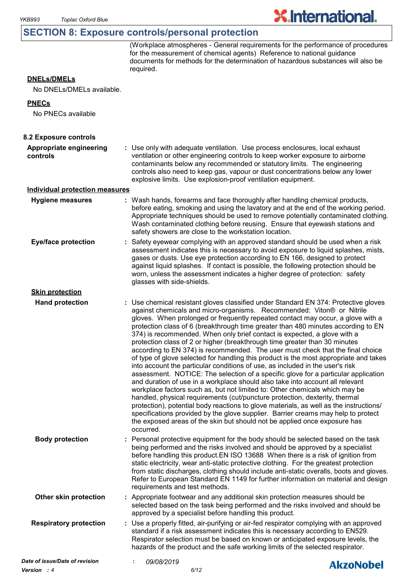# **SECTION 8: Exposure controls/personal protection**

(Workplace atmospheres - General requirements for the performance of procedures for the measurement of chemical agents) Reference to national guidance documents for methods for the determination of hazardous substances will also be required.

**X.International.** 

# **DNELs/DMELs**

No DNELs/DMELs available.

#### **PNECs**

No PNECs available

| 8.2 Exposure controls<br>Appropriate engineering<br>: Use only with adequate ventilation. Use process enclosures, local exhaust<br>ventilation or other engineering controls to keep worker exposure to airborne<br>controls<br>contaminants below any recommended or statutory limits. The engineering<br>controls also need to keep gas, vapour or dust concentrations below any lower<br>explosive limits. Use explosion-proof ventilation equipment.<br><b>Individual protection measures</b><br>: Wash hands, forearms and face thoroughly after handling chemical products,<br><b>Hygiene measures</b><br>before eating, smoking and using the lavatory and at the end of the working period.<br>Appropriate techniques should be used to remove potentially contaminated clothing.<br>Wash contaminated clothing before reusing. Ensure that eyewash stations and<br>safety showers are close to the workstation location.<br><b>Eye/face protection</b><br>: Safety eyewear complying with an approved standard should be used when a risk<br>assessment indicates this is necessary to avoid exposure to liquid splashes, mists,<br>gases or dusts. Use eye protection according to EN 166, designed to protect<br>against liquid splashes. If contact is possible, the following protection should be<br>worn, unless the assessment indicates a higher degree of protection: safety<br>glasses with side-shields.<br><b>Skin protection</b><br><b>Hand protection</b><br>: Use chemical resistant gloves classified under Standard EN 374: Protective gloves<br>against chemicals and micro-organisms. Recommended: Viton® or Nitrile<br>gloves. When prolonged or frequently repeated contact may occur, a glove with a<br>protection class of 6 (breakthrough time greater than 480 minutes according to EN<br>374) is recommended. When only brief contact is expected, a glove with a<br>protection class of 2 or higher (breakthrough time greater than 30 minutes<br>according to EN 374) is recommended. The user must check that the final choice<br>of type of glove selected for handling this product is the most appropriate and takes<br>into account the particular conditions of use, as included in the user's risk<br>assessment. NOTICE: The selection of a specific glove for a particular application<br>and duration of use in a workplace should also take into account all relevant<br>workplace factors such as, but not limited to: Other chemicals which may be<br>handled, physical requirements (cut/puncture protection, dexterity, thermal |  |
|-------------------------------------------------------------------------------------------------------------------------------------------------------------------------------------------------------------------------------------------------------------------------------------------------------------------------------------------------------------------------------------------------------------------------------------------------------------------------------------------------------------------------------------------------------------------------------------------------------------------------------------------------------------------------------------------------------------------------------------------------------------------------------------------------------------------------------------------------------------------------------------------------------------------------------------------------------------------------------------------------------------------------------------------------------------------------------------------------------------------------------------------------------------------------------------------------------------------------------------------------------------------------------------------------------------------------------------------------------------------------------------------------------------------------------------------------------------------------------------------------------------------------------------------------------------------------------------------------------------------------------------------------------------------------------------------------------------------------------------------------------------------------------------------------------------------------------------------------------------------------------------------------------------------------------------------------------------------------------------------------------------------------------------------------------------------------------------------------------------------------------------------------------------------------------------------------------------------------------------------------------------------------------------------------------------------------------------------------------------------------------------------------------------------------------------------------------------------------------------------------------------------------------------------------------------------------------------|--|
|                                                                                                                                                                                                                                                                                                                                                                                                                                                                                                                                                                                                                                                                                                                                                                                                                                                                                                                                                                                                                                                                                                                                                                                                                                                                                                                                                                                                                                                                                                                                                                                                                                                                                                                                                                                                                                                                                                                                                                                                                                                                                                                                                                                                                                                                                                                                                                                                                                                                                                                                                                                     |  |
|                                                                                                                                                                                                                                                                                                                                                                                                                                                                                                                                                                                                                                                                                                                                                                                                                                                                                                                                                                                                                                                                                                                                                                                                                                                                                                                                                                                                                                                                                                                                                                                                                                                                                                                                                                                                                                                                                                                                                                                                                                                                                                                                                                                                                                                                                                                                                                                                                                                                                                                                                                                     |  |
|                                                                                                                                                                                                                                                                                                                                                                                                                                                                                                                                                                                                                                                                                                                                                                                                                                                                                                                                                                                                                                                                                                                                                                                                                                                                                                                                                                                                                                                                                                                                                                                                                                                                                                                                                                                                                                                                                                                                                                                                                                                                                                                                                                                                                                                                                                                                                                                                                                                                                                                                                                                     |  |
|                                                                                                                                                                                                                                                                                                                                                                                                                                                                                                                                                                                                                                                                                                                                                                                                                                                                                                                                                                                                                                                                                                                                                                                                                                                                                                                                                                                                                                                                                                                                                                                                                                                                                                                                                                                                                                                                                                                                                                                                                                                                                                                                                                                                                                                                                                                                                                                                                                                                                                                                                                                     |  |
|                                                                                                                                                                                                                                                                                                                                                                                                                                                                                                                                                                                                                                                                                                                                                                                                                                                                                                                                                                                                                                                                                                                                                                                                                                                                                                                                                                                                                                                                                                                                                                                                                                                                                                                                                                                                                                                                                                                                                                                                                                                                                                                                                                                                                                                                                                                                                                                                                                                                                                                                                                                     |  |
| protection), potential body reactions to glove materials, as well as the instructions/<br>specifications provided by the glove supplier. Barrier creams may help to protect<br>the exposed areas of the skin but should not be applied once exposure has<br>occurred.                                                                                                                                                                                                                                                                                                                                                                                                                                                                                                                                                                                                                                                                                                                                                                                                                                                                                                                                                                                                                                                                                                                                                                                                                                                                                                                                                                                                                                                                                                                                                                                                                                                                                                                                                                                                                                                                                                                                                                                                                                                                                                                                                                                                                                                                                                               |  |
| <b>Body protection</b><br>: Personal protective equipment for the body should be selected based on the task<br>being performed and the risks involved and should be approved by a specialist<br>before handling this product. EN ISO 13688 When there is a risk of ignition from<br>static electricity, wear anti-static protective clothing. For the greatest protection<br>from static discharges, clothing should include anti-static overalls, boots and gloves.<br>Refer to European Standard EN 1149 for further information on material and design<br>requirements and test methods.                                                                                                                                                                                                                                                                                                                                                                                                                                                                                                                                                                                                                                                                                                                                                                                                                                                                                                                                                                                                                                                                                                                                                                                                                                                                                                                                                                                                                                                                                                                                                                                                                                                                                                                                                                                                                                                                                                                                                                                         |  |
| Other skin protection<br>: Appropriate footwear and any additional skin protection measures should be<br>selected based on the task being performed and the risks involved and should be<br>approved by a specialist before handling this product.                                                                                                                                                                                                                                                                                                                                                                                                                                                                                                                                                                                                                                                                                                                                                                                                                                                                                                                                                                                                                                                                                                                                                                                                                                                                                                                                                                                                                                                                                                                                                                                                                                                                                                                                                                                                                                                                                                                                                                                                                                                                                                                                                                                                                                                                                                                                  |  |
| : Use a properly fitted, air-purifying or air-fed respirator complying with an approved<br><b>Respiratory protection</b><br>standard if a risk assessment indicates this is necessary according to EN529.<br>Respirator selection must be based on known or anticipated exposure levels, the<br>hazards of the product and the safe working limits of the selected respirator.                                                                                                                                                                                                                                                                                                                                                                                                                                                                                                                                                                                                                                                                                                                                                                                                                                                                                                                                                                                                                                                                                                                                                                                                                                                                                                                                                                                                                                                                                                                                                                                                                                                                                                                                                                                                                                                                                                                                                                                                                                                                                                                                                                                                      |  |
| Date of issue/Date of revision<br>09/08/2019<br><b>AkzoNobel</b>                                                                                                                                                                                                                                                                                                                                                                                                                                                                                                                                                                                                                                                                                                                                                                                                                                                                                                                                                                                                                                                                                                                                                                                                                                                                                                                                                                                                                                                                                                                                                                                                                                                                                                                                                                                                                                                                                                                                                                                                                                                                                                                                                                                                                                                                                                                                                                                                                                                                                                                    |  |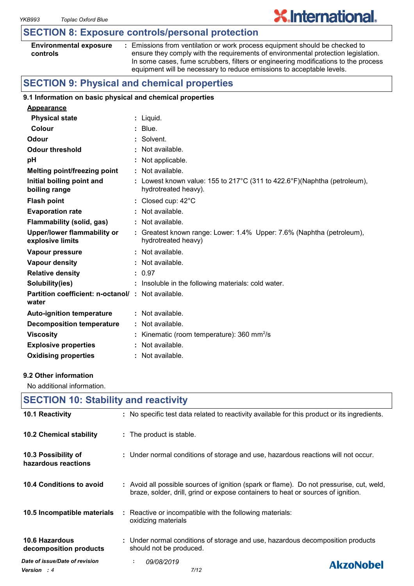# **SECTION 8: Exposure controls/personal protection**

| <b>Environmental exposure</b> |  |
|-------------------------------|--|
| controls                      |  |

**:** Emissions from ventilation or work process equipment should be checked to ensure they comply with the requirements of environmental protection legislation. In some cases, fume scrubbers, filters or engineering modifications to the process equipment will be necessary to reduce emissions to acceptable levels.

**X.International.** 

# **SECTION 9: Physical and chemical properties**

#### **9.1 Information on basic physical and chemical properties**

| <b>Appearance</b>                                                 |                                                                                                  |
|-------------------------------------------------------------------|--------------------------------------------------------------------------------------------------|
| <b>Physical state</b>                                             | $:$ Liquid.                                                                                      |
| Colour                                                            | $:$ Blue.                                                                                        |
| Odour                                                             | : Solvent.                                                                                       |
| <b>Odour threshold</b>                                            | : Not available.                                                                                 |
| рH                                                                | : Not applicable.                                                                                |
| <b>Melting point/freezing point</b>                               | $:$ Not available.                                                                               |
| Initial boiling point and<br>boiling range                        | : Lowest known value: 155 to 217°C (311 to 422.6°F)(Naphtha (petroleum),<br>hydrotreated heavy). |
| <b>Flash point</b>                                                | : Closed cup: $42^{\circ}$ C                                                                     |
| <b>Evaporation rate</b>                                           | $:$ Not available.                                                                               |
| <b>Flammability (solid, gas)</b>                                  | : Not available.                                                                                 |
| Upper/lower flammability or<br>explosive limits                   | : Greatest known range: Lower: 1.4% Upper: 7.6% (Naphtha (petroleum),<br>hydrotreated heavy)     |
| Vapour pressure                                                   | : Not available.                                                                                 |
| <b>Vapour density</b>                                             | $:$ Not available.                                                                               |
| <b>Relative density</b>                                           | : 0.97                                                                                           |
| Solubility(ies)                                                   | : Insoluble in the following materials: cold water.                                              |
| <b>Partition coefficient: n-octanol/: Not available.</b><br>water |                                                                                                  |
| <b>Auto-ignition temperature</b>                                  | $:$ Not available.                                                                               |
| <b>Decomposition temperature</b>                                  | $\therefore$ Not available.                                                                      |
| <b>Viscosity</b>                                                  | : Kinematic (room temperature): $360 \text{ mm}^2/\text{s}$                                      |
| <b>Explosive properties</b>                                       | $:$ Not available.                                                                               |
| <b>Oxidising properties</b>                                       | : Not available.                                                                                 |

#### **9.2 Other information**

No additional information.

| <b>SECTION 10: Stability and reactivity</b>  |                                                                                                                                                                              |
|----------------------------------------------|------------------------------------------------------------------------------------------------------------------------------------------------------------------------------|
| 10.1 Reactivity                              | : No specific test data related to reactivity available for this product or its ingredients.                                                                                 |
| 10.2 Chemical stability                      | : The product is stable.                                                                                                                                                     |
| 10.3 Possibility of<br>hazardous reactions   | : Under normal conditions of storage and use, hazardous reactions will not occur.                                                                                            |
| 10.4 Conditions to avoid                     | : Avoid all possible sources of ignition (spark or flame). Do not pressurise, cut, weld,<br>braze, solder, drill, grind or expose containers to heat or sources of ignition. |
| 10.5 Incompatible materials                  | : Reactive or incompatible with the following materials:<br>oxidizing materials                                                                                              |
| 10.6 Hazardous<br>decomposition products     | : Under normal conditions of storage and use, hazardous decomposition products<br>should not be produced.                                                                    |
| Date of issue/Date of revision<br>Version: 4 | 09/08/2019<br>÷.<br><b>AkzoNobel</b><br>7/12                                                                                                                                 |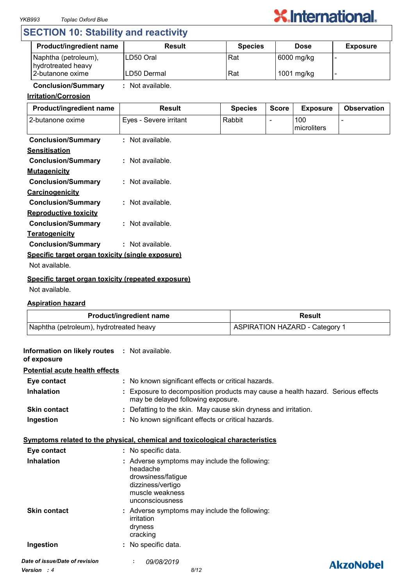

# **SECTION 10: Stability and reactivity**

| <b>Product/ingredient name</b>             | <b>Result</b> | <b>Species</b> | <b>Dose</b> | <b>Exposure</b> |
|--------------------------------------------|---------------|----------------|-------------|-----------------|
| Naphtha (petroleum),<br>hydrotreated heavy | ILD50 Oral    | Rat            | 6000 mg/kg  |                 |
| 2-butanone oxime                           | ILD50 Dermal  | Rat            | 1001 mg/kg  |                 |

# **Conclusion/Summary :** Not available.

# **Irritation/Corrosion**

| Product/ingredient name                            | <b>Result</b>          | <b>Species</b> | <b>Score</b> | <b>Exposure</b>    | <b>Observation</b> |
|----------------------------------------------------|------------------------|----------------|--------------|--------------------|--------------------|
| 2-butanone oxime                                   | Eyes - Severe irritant | Rabbit         |              | 100<br>microliters |                    |
| <b>Conclusion/Summary</b>                          | : Not available.       |                |              |                    |                    |
| <b>Sensitisation</b>                               |                        |                |              |                    |                    |
| <b>Conclusion/Summary</b>                          | $:$ Not available.     |                |              |                    |                    |
| <b>Mutagenicity</b>                                |                        |                |              |                    |                    |
| <b>Conclusion/Summary</b>                          | : Not available.       |                |              |                    |                    |
| Carcinogenicity                                    |                        |                |              |                    |                    |
| <b>Conclusion/Summary</b>                          | $:$ Not available.     |                |              |                    |                    |
| <b>Reproductive toxicity</b>                       |                        |                |              |                    |                    |
| <b>Conclusion/Summary</b>                          | $:$ Not available.     |                |              |                    |                    |
| <b>Teratogenicity</b>                              |                        |                |              |                    |                    |
| <b>Conclusion/Summary</b>                          | : Not available.       |                |              |                    |                    |
| Specific target organ toxicity (single exposure)   |                        |                |              |                    |                    |
| Not available.                                     |                        |                |              |                    |                    |
| Specific target organ toxicity (repeated exposure) |                        |                |              |                    |                    |

Not available.

### **Aspiration hazard**

| <b>Product/ingredient name</b>          | Result                                |
|-----------------------------------------|---------------------------------------|
| Naphtha (petroleum), hydrotreated heavy | <b>ASPIRATION HAZARD - Category 1</b> |

| Information on likely routes : Not available.<br>of exposure |                                                                                                                                            |                  |
|--------------------------------------------------------------|--------------------------------------------------------------------------------------------------------------------------------------------|------------------|
| <b>Potential acute health effects</b>                        |                                                                                                                                            |                  |
| Eye contact                                                  | : No known significant effects or critical hazards.                                                                                        |                  |
| <b>Inhalation</b>                                            | Exposure to decomposition products may cause a health hazard. Serious effects<br>may be delayed following exposure.                        |                  |
| <b>Skin contact</b>                                          | : Defatting to the skin. May cause skin dryness and irritation.                                                                            |                  |
| Ingestion                                                    | : No known significant effects or critical hazards.                                                                                        |                  |
|                                                              | Symptoms related to the physical, chemical and toxicological characteristics                                                               |                  |
| Eye contact                                                  | : No specific data.                                                                                                                        |                  |
| Inhalation                                                   | : Adverse symptoms may include the following:<br>headache<br>drowsiness/fatigue<br>dizziness/vertigo<br>muscle weakness<br>unconsciousness |                  |
| <b>Skin contact</b>                                          | : Adverse symptoms may include the following:<br>irritation<br>dryness<br>cracking                                                         |                  |
| Ingestion                                                    | : No specific data.                                                                                                                        |                  |
| Date of issue/Date of revision                               | 09/08/2019                                                                                                                                 | <b>AkzoNobel</b> |
| <b>Version</b> : 4                                           | 8/12                                                                                                                                       |                  |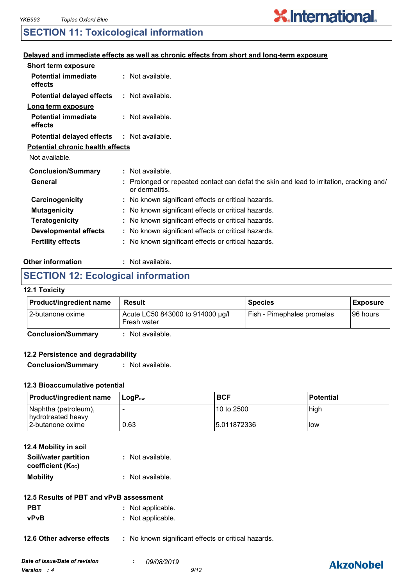# **X.International.**

# **SECTION 11: Toxicological information**

## **Delayed and immediate effects as well as chronic effects from short and long-term exposure**

| <b>Short term exposure</b>              |                                                                                                            |  |
|-----------------------------------------|------------------------------------------------------------------------------------------------------------|--|
| <b>Potential immediate</b><br>effects   | : Not available.                                                                                           |  |
| <b>Potential delayed effects</b>        | : Not available.                                                                                           |  |
| Long term exposure                      |                                                                                                            |  |
| <b>Potential immediate</b><br>effects   | : Not available.                                                                                           |  |
| <b>Potential delayed effects</b>        | : Not available.                                                                                           |  |
| <b>Potential chronic health effects</b> |                                                                                                            |  |
| Not available.                          |                                                                                                            |  |
| <b>Conclusion/Summary</b>               | : Not available.                                                                                           |  |
| General                                 | : Prolonged or repeated contact can defat the skin and lead to irritation, cracking and/<br>or dermatitis. |  |
| Carcinogenicity                         | : No known significant effects or critical hazards.                                                        |  |
| <b>Mutagenicity</b>                     | : No known significant effects or critical hazards.                                                        |  |
| <b>Teratogenicity</b>                   | : No known significant effects or critical hazards.                                                        |  |
| <b>Developmental effects</b>            | : No known significant effects or critical hazards.                                                        |  |
| <b>Fertility effects</b>                | : No known significant effects or critical hazards.                                                        |  |
|                                         |                                                                                                            |  |

#### **Other information :** : Not available.

# **SECTION 12: Ecological information**

#### **12.1 Toxicity**

| <b>Product/ingredient name</b> | Result                                          | <b>Species</b>             | <b>Exposure</b> |
|--------------------------------|-------------------------------------------------|----------------------------|-----------------|
| 12-butanone oxime              | Acute LC50 843000 to 914000 µg/l<br>Fresh water | Fish - Pimephales promelas | I96 hours       |

**Conclusion/Summary :** Not available.

## **12.2 Persistence and degradability**

**Conclusion/Summary :** Not available.

# **12.3 Bioaccumulative potential**

| <b>Product/ingredient name</b>             | ⊺LoɑP <sub>∾w</sub> | <b>BCF</b>   | <b>Potential</b> |
|--------------------------------------------|---------------------|--------------|------------------|
| Naphtha (petroleum),<br>hydrotreated heavy |                     | 10 to 2500   | high             |
| 2-butanone oxime                           | 0.63                | 15.011872336 | low              |

| 12.4 Mobility in soil |                  |
|-----------------------|------------------|
| Soil/water partition  | : Not available. |
| coefficient (Koc)     |                  |
| <b>Mobility</b>       | : Not available. |

- **PBT** : Not applicable.
- **vPvB :** Not applicable.

**12.6 Other adverse effects** : No known significant effects or critical hazards.

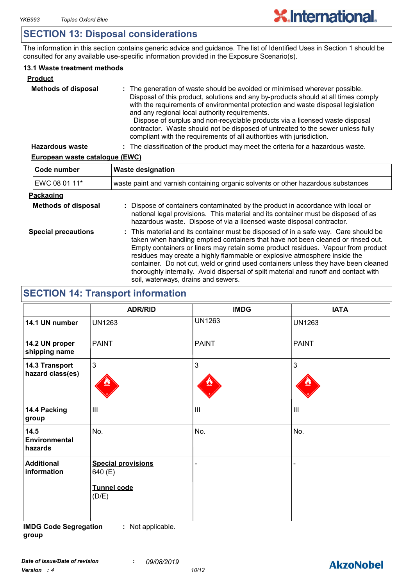# **SECTION 13: Disposal considerations**

The information in this section contains generic advice and guidance. The list of Identified Uses in Section 1 should be consulted for any available use-specific information provided in the Exposure Scenario(s).

# **13.1 Waste treatment methods**

| <b>Product</b>             |                                                                                                                                                                                                                                                                                                                                                                                                                                                                                                                                                     |
|----------------------------|-----------------------------------------------------------------------------------------------------------------------------------------------------------------------------------------------------------------------------------------------------------------------------------------------------------------------------------------------------------------------------------------------------------------------------------------------------------------------------------------------------------------------------------------------------|
| <b>Methods of disposal</b> | : The generation of waste should be avoided or minimised wherever possible.<br>Disposal of this product, solutions and any by-products should at all times comply<br>with the requirements of environmental protection and waste disposal legislation<br>and any regional local authority requirements.<br>Dispose of surplus and non-recyclable products via a licensed waste disposal<br>contractor. Waste should not be disposed of untreated to the sewer unless fully<br>compliant with the requirements of all authorities with jurisdiction. |
| <b>Hazardous waste</b>     | : The classification of the product may meet the criteria for a hazardous waste.                                                                                                                                                                                                                                                                                                                                                                                                                                                                    |

# **European waste catalogue (EWC)**

| Code number                | <b>Waste designation</b>                                                                                                                                                                                                                                                                                                                                                                                                                                                                                                                                      |  |  |
|----------------------------|---------------------------------------------------------------------------------------------------------------------------------------------------------------------------------------------------------------------------------------------------------------------------------------------------------------------------------------------------------------------------------------------------------------------------------------------------------------------------------------------------------------------------------------------------------------|--|--|
| EWC 08 01 11*              | waste paint and varnish containing organic solvents or other hazardous substances                                                                                                                                                                                                                                                                                                                                                                                                                                                                             |  |  |
| Packaging                  |                                                                                                                                                                                                                                                                                                                                                                                                                                                                                                                                                               |  |  |
| <b>Methods of disposal</b> | : Dispose of containers contaminated by the product in accordance with local or<br>national legal provisions. This material and its container must be disposed of as<br>hazardous waste. Dispose of via a licensed waste disposal contractor.                                                                                                                                                                                                                                                                                                                 |  |  |
| <b>Special precautions</b> | : This material and its container must be disposed of in a safe way. Care should be<br>taken when handling emptied containers that have not been cleaned or rinsed out.<br>Empty containers or liners may retain some product residues. Vapour from product<br>residues may create a highly flammable or explosive atmosphere inside the<br>container. Do not cut, weld or grind used containers unless they have been cleaned<br>thoroughly internally. Avoid dispersal of spilt material and runoff and contact with<br>soil, waterways, drains and sewers. |  |  |

# **SECTION 14: Transport information**

|                                         | <b>ADR/RID</b>                                               | <b>IMDG</b>                           | <b>IATA</b>        |
|-----------------------------------------|--------------------------------------------------------------|---------------------------------------|--------------------|
| 14.1 UN number                          | <b>UN1263</b>                                                | <b>UN1263</b>                         | <b>UN1263</b>      |
| 14.2 UN proper<br>shipping name         | <b>PAINT</b>                                                 | <b>PAINT</b>                          | PAINT              |
| 14.3 Transport<br>hazard class(es)      | $\mathbf{3}$                                                 | 3                                     | $\mathbf{3}$       |
| 14.4 Packing<br>group                   | $\mathbf{III}$                                               | $\begin{array}{c} \hline \end{array}$ | $\mathop{\rm III}$ |
| 14.5<br><b>Environmental</b><br>hazards | No.                                                          | No.                                   | No.                |
| <b>Additional</b><br>information        | <b>Special provisions</b><br>640 (E)<br>Tunnel code<br>(D/E) |                                       |                    |

**IMDG Code Segregation group :** Not applicable.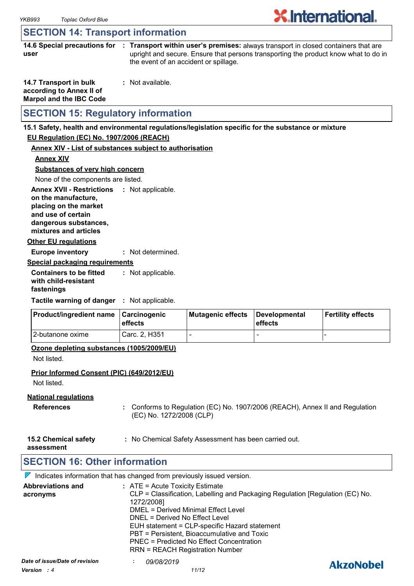# **X**.International.

# **SECTION 14: Transport information**

**14.6 Special precautions for : Transport within user's premises:** always transport in closed containers that are **user** upright and secure. Ensure that persons transporting the product know what to do in the event of an accident or spillage.

| 14.7 Transport in bulk         | : Not available. |
|--------------------------------|------------------|
| according to Annex II of       |                  |
| <b>Marpol and the IBC Code</b> |                  |

# **SECTION 15: Regulatory information**

#### **15.1 Safety, health and environmental regulations/legislation specific for the substance or mixture**

# **EU Regulation (EC) No. 1907/2006 (REACH)**

#### **Annex XIV - List of substances subject to authorisation**

**Annex XIV**

**Substances of very high concern**

None of the components are listed.

**Annex XVII - Restrictions : Not applicable. on the manufacture, placing on the market** 

**and use of certain** 

**dangerous substances, mixtures and articles**

#### **Other EU regulations**

**Europe inventory :** Not determined.

#### **Special packaging requirements**

**Containers to be fitted with child-resistant fastenings** Not applicable. **:**

**Tactile warning of danger : Not applicable.** 

| <b>Product/ingredient name</b> | <b>∣Carcinogenic</b><br><b>leffects</b> | Mutagenic effects | Developmental<br>effects | Fertility effects |
|--------------------------------|-----------------------------------------|-------------------|--------------------------|-------------------|
| 12-butanone oxime              | Carc. 2. H351                           |                   | -                        |                   |

### **Ozone depleting substances (1005/2009/EU)**

Not listed.

### **Prior Informed Consent (PIC) (649/2012/EU)**

Not listed.

### **National regulations**

- **References :** Conforms to Regulation (EC) No. 1907/2006 (REACH), Annex II and Regulation (EC) No. 1272/2008 (CLP)
- **15.2 Chemical safety :** No Chemical Safety Assessment has been carried out.

**assessment**

# **SECTION 16: Other information**

 $\nabla$  Indicates information that has changed from previously issued version.

| <b>Abbreviations and</b><br>acronyms          | $:$ ATE = Acute Toxicity Estimate<br>CLP = Classification, Labelling and Packaging Regulation [Regulation (EC) No.<br>1272/2008]<br><b>DMEL = Derived Minimal Effect Level</b><br>DNEL = Derived No Effect Level<br>EUH statement = CLP-specific Hazard statement<br>PBT = Persistent, Bioaccumulative and Toxic<br>PNEC = Predicted No Effect Concentration<br><b>RRN = REACH Registration Number</b> |                  |
|-----------------------------------------------|--------------------------------------------------------------------------------------------------------------------------------------------------------------------------------------------------------------------------------------------------------------------------------------------------------------------------------------------------------------------------------------------------------|------------------|
| Date of issue/Date of revision<br>Version : 4 | 09/08/2019<br>11/12                                                                                                                                                                                                                                                                                                                                                                                    | <b>AkzoNobel</b> |